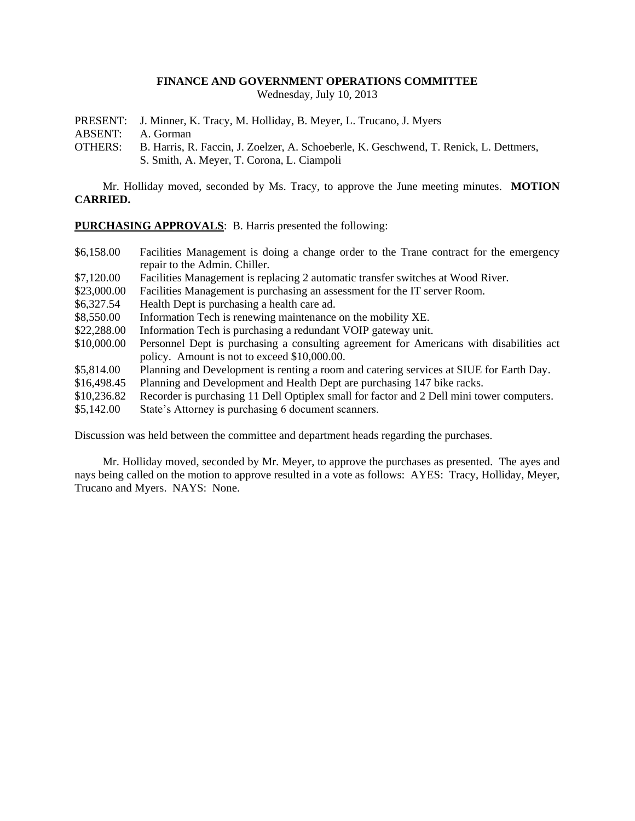## **FINANCE AND GOVERNMENT OPERATIONS COMMITTEE**

Wednesday, July 10, 2013

PRESENT: J. Minner, K. Tracy, M. Holliday, B. Meyer, L. Trucano, J. Myers

ABSENT: A. Gorman

OTHERS: B. Harris, R. Faccin, J. Zoelzer, A. Schoeberle, K. Geschwend, T. Renick, L. Dettmers, S. Smith, A. Meyer, T. Corona, L. Ciampoli

Mr. Holliday moved, seconded by Ms. Tracy, to approve the June meeting minutes. **MOTION CARRIED.**

**PURCHASING APPROVALS**: B. Harris presented the following:

- \$6,158.00 Facilities Management is doing a change order to the Trane contract for the emergency repair to the Admin. Chiller.
- \$7,120.00 Facilities Management is replacing 2 automatic transfer switches at Wood River.
- \$23,000.00 Facilities Management is purchasing an assessment for the IT server Room.
- \$6,327.54 Health Dept is purchasing a health care ad.
- \$8,550.00 Information Tech is renewing maintenance on the mobility XE.
- \$22,288.00 Information Tech is purchasing a redundant VOIP gateway unit.
- \$10,000.00 Personnel Dept is purchasing a consulting agreement for Americans with disabilities act policy. Amount is not to exceed \$10,000.00.
- \$5,814.00 Planning and Development is renting a room and catering services at SIUE for Earth Day.
- \$16,498.45 Planning and Development and Health Dept are purchasing 147 bike racks.<br>\$10.236.82 Recorder is purchasing 11 Dell Optiplex small for factor and 2 Dell mini to
- Recorder is purchasing 11 Dell Optiplex small for factor and 2 Dell mini tower computers.
- \$5,142.00 State's Attorney is purchasing 6 document scanners.

Discussion was held between the committee and department heads regarding the purchases.

Mr. Holliday moved, seconded by Mr. Meyer, to approve the purchases as presented. The ayes and nays being called on the motion to approve resulted in a vote as follows: AYES: Tracy, Holliday, Meyer, Trucano and Myers. NAYS: None.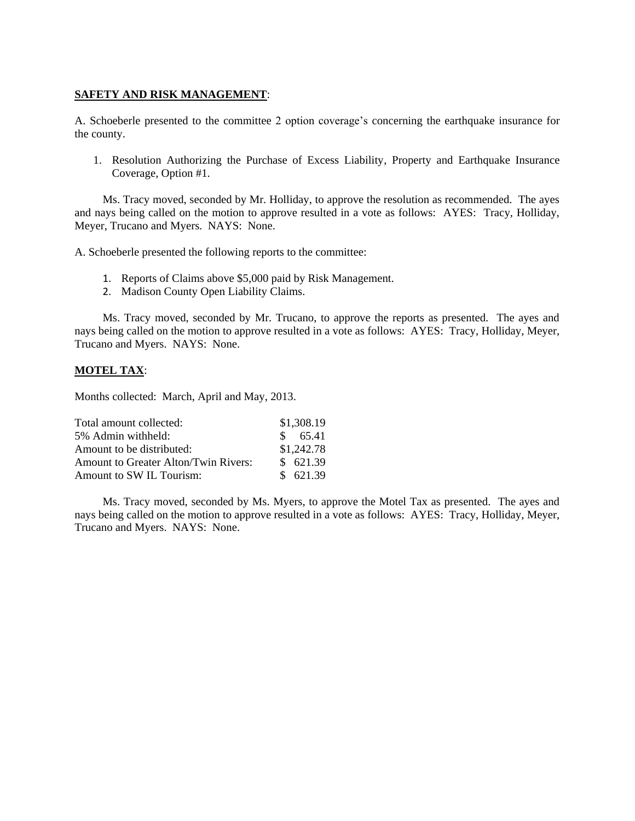## **SAFETY AND RISK MANAGEMENT**:

A. Schoeberle presented to the committee 2 option coverage's concerning the earthquake insurance for the county.

1. Resolution Authorizing the Purchase of Excess Liability, Property and Earthquake Insurance Coverage, Option #1.

Ms. Tracy moved, seconded by Mr. Holliday, to approve the resolution as recommended. The ayes and nays being called on the motion to approve resulted in a vote as follows: AYES: Tracy, Holliday, Meyer, Trucano and Myers. NAYS: None.

A. Schoeberle presented the following reports to the committee:

- 1. Reports of Claims above \$5,000 paid by Risk Management.
- 2. Madison County Open Liability Claims.

Ms. Tracy moved, seconded by Mr. Trucano, to approve the reports as presented. The ayes and nays being called on the motion to approve resulted in a vote as follows: AYES: Tracy, Holliday, Meyer, Trucano and Myers. NAYS: None.

## **MOTEL TAX**:

Months collected: March, April and May, 2013.

| Total amount collected:              |               | \$1,308.19 |
|--------------------------------------|---------------|------------|
| 5% Admin withheld:                   | $\mathcal{S}$ | 65.41      |
| Amount to be distributed:            |               | \$1,242.78 |
| Amount to Greater Alton/Twin Rivers: |               | \$621.39   |
| Amount to SW IL Tourism:             |               | \$621.39   |

Ms. Tracy moved, seconded by Ms. Myers, to approve the Motel Tax as presented. The ayes and nays being called on the motion to approve resulted in a vote as follows: AYES: Tracy, Holliday, Meyer, Trucano and Myers. NAYS: None.